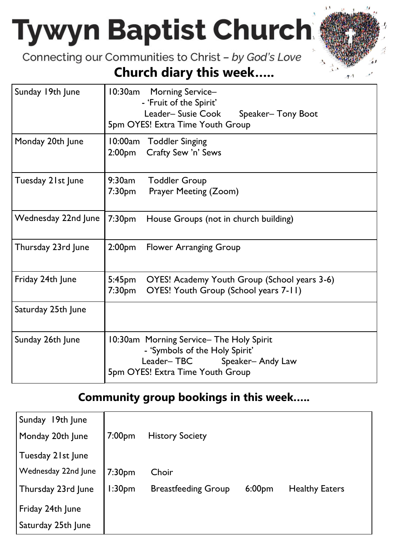# **Tywyn Baptist Church**

Connecting our Communities to Christ - by God's Love

#### **Church diary this week…..**

| Sunday 19th June    | 10:30am<br>Morning Service-<br>- 'Fruit of the Spirit'<br>Leader-Susie Cook<br>Speaker-Tony Boot<br>5pm OYES! Extra Time Youth Group         |  |  |
|---------------------|----------------------------------------------------------------------------------------------------------------------------------------------|--|--|
| Monday 20th June    | 10:00am Toddler Singing<br>Crafty Sew 'n' Sews<br>2:00pm                                                                                     |  |  |
| Tuesday 21st June   | 9:30am<br><b>Toddler Group</b><br>7:30pm<br>Prayer Meeting (Zoom)                                                                            |  |  |
| Wednesday 22nd June | 7:30pm<br>House Groups (not in church building)                                                                                              |  |  |
| Thursday 23rd June  | 2:00 <sub>pm</sub><br>Flower Arranging Group                                                                                                 |  |  |
| Friday 24th June    | 5:45pm<br>OYES! Academy Youth Group (School years 3-6)<br>OYES! Youth Group (School years 7-11)<br>7:30pm                                    |  |  |
| Saturday 25th June  |                                                                                                                                              |  |  |
| Sunday 26th June    | 10:30am Morning Service-The Holy Spirit<br>- 'Symbols of the Holy Spirit'<br>Leader-TBC Speaker-Andy Law<br>5pm OYES! Extra Time Youth Group |  |  |

#### **Community group bookings in this week…..**

| 19th June<br>Sunday |                    |                            |                    |                       |
|---------------------|--------------------|----------------------------|--------------------|-----------------------|
| Monday 20th June    | 7:00 <sub>pm</sub> | <b>History Society</b>     |                    |                       |
| Tuesday 21st June   |                    |                            |                    |                       |
| Wednesday 22nd June | 7:30 <sub>pm</sub> | Choir                      |                    |                       |
| Thursday 23rd June  | 1:30 <sub>pm</sub> | <b>Breastfeeding Group</b> | 6:00 <sub>pm</sub> | <b>Healthy Eaters</b> |
| Friday 24th June    |                    |                            |                    |                       |
| Saturday 25th June  |                    |                            |                    |                       |